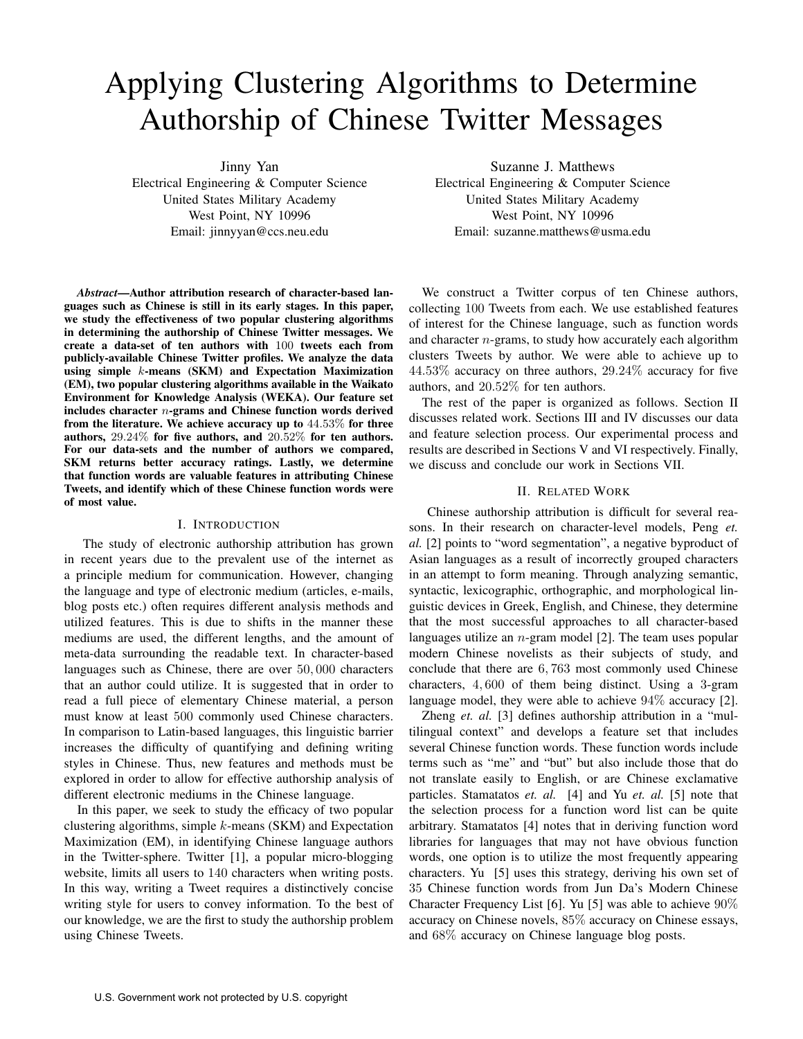# Applying Clustering Algorithms to Determine Authorship of Chinese Twitter Messages

Jinny Yan

Electrical Engineering & Computer Science United States Military Academy West Point, NY 10996 Email: jinnyyan@ccs.neu.edu

*Abstract*—Author attribution research of character-based languages such as Chinese is still in its early stages. In this paper, we study the effectiveness of two popular clustering algorithms in determining the authorship of Chinese Twitter messages. We create a data-set of ten authors with 100 tweets each from publicly-available Chinese Twitter profiles. We analyze the data using simple k-means (SKM) and Expectation Maximization (EM), two popular clustering algorithms available in the Waikato Environment for Knowledge Analysis (WEKA). Our feature set includes character n-grams and Chinese function words derived from the literature. We achieve accuracy up to 44.53% for three authors, 29.24% for five authors, and 20.52% for ten authors. For our data-sets and the number of authors we compared, SKM returns better accuracy ratings. Lastly, we determine that function words are valuable features in attributing Chinese Tweets, and identify which of these Chinese function words were of most value.

## I. INTRODUCTION

The study of electronic authorship attribution has grown in recent years due to the prevalent use of the internet as a principle medium for communication. However, changing the language and type of electronic medium (articles, e-mails, blog posts etc.) often requires different analysis methods and utilized features. This is due to shifts in the manner these mediums are used, the different lengths, and the amount of meta-data surrounding the readable text. In character-based languages such as Chinese, there are over 50, 000 characters that an author could utilize. It is suggested that in order to read a full piece of elementary Chinese material, a person must know at least 500 commonly used Chinese characters. In comparison to Latin-based languages, this linguistic barrier increases the difficulty of quantifying and defining writing styles in Chinese. Thus, new features and methods must be explored in order to allow for effective authorship analysis of different electronic mediums in the Chinese language.

In this paper, we seek to study the efficacy of two popular clustering algorithms, simple  $k$ -means (SKM) and Expectation Maximization (EM), in identifying Chinese language authors in the Twitter-sphere. Twitter [1], a popular micro-blogging website, limits all users to 140 characters when writing posts. In this way, writing a Tweet requires a distinctively concise writing style for users to convey information. To the best of our knowledge, we are the first to study the authorship problem using Chinese Tweets.

Suzanne J. Matthews Electrical Engineering & Computer Science United States Military Academy West Point, NY 10996 Email: suzanne.matthews@usma.edu

We construct a Twitter corpus of ten Chinese authors, collecting 100 Tweets from each. We use established features of interest for the Chinese language, such as function words and character  $n$ -grams, to study how accurately each algorithm clusters Tweets by author. We were able to achieve up to 44.53% accuracy on three authors, 29.24% accuracy for five authors, and 20.52% for ten authors.

The rest of the paper is organized as follows. Section II discusses related work. Sections III and IV discusses our data and feature selection process. Our experimental process and results are described in Sections V and VI respectively. Finally, we discuss and conclude our work in Sections VII.

## II. RELATED WORK

Chinese authorship attribution is difficult for several reasons. In their research on character-level models, Peng *et. al.* [2] points to "word segmentation", a negative byproduct of Asian languages as a result of incorrectly grouped characters in an attempt to form meaning. Through analyzing semantic, syntactic, lexicographic, orthographic, and morphological linguistic devices in Greek, English, and Chinese, they determine that the most successful approaches to all character-based languages utilize an  $n$ -gram model [2]. The team uses popular modern Chinese novelists as their subjects of study, and conclude that there are 6, 763 most commonly used Chinese characters, 4, 600 of them being distinct. Using a 3-gram language model, they were able to achieve 94% accuracy [2].

Zheng *et. al.* [3] defines authorship attribution in a "multilingual context" and develops a feature set that includes several Chinese function words. These function words include terms such as "me" and "but" but also include those that do not translate easily to English, or are Chinese exclamative particles. Stamatatos *et. al.* [4] and Yu *et. al.* [5] note that the selection process for a function word list can be quite arbitrary. Stamatatos [4] notes that in deriving function word libraries for languages that may not have obvious function words, one option is to utilize the most frequently appearing characters. Yu [5] uses this strategy, deriving his own set of 35 Chinese function words from Jun Da's Modern Chinese Character Frequency List [6]. Yu [5] was able to achieve 90% accuracy on Chinese novels, 85% accuracy on Chinese essays, and 68% accuracy on Chinese language blog posts.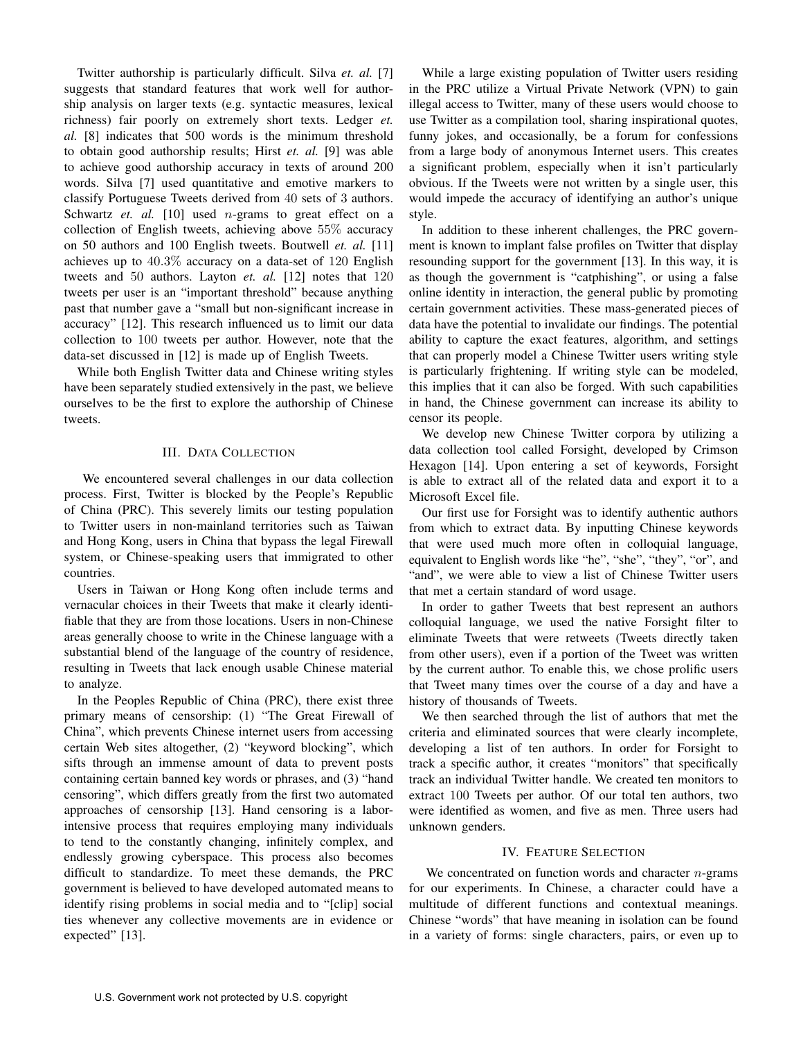Twitter authorship is particularly difficult. Silva *et. al.* [7] suggests that standard features that work well for authorship analysis on larger texts (e.g. syntactic measures, lexical richness) fair poorly on extremely short texts. Ledger *et. al.* [8] indicates that 500 words is the minimum threshold to obtain good authorship results; Hirst *et. al.* [9] was able to achieve good authorship accuracy in texts of around 200 words. Silva [7] used quantitative and emotive markers to classify Portuguese Tweets derived from 40 sets of 3 authors. Schwartz *et. al.* [10] used *n*-grams to great effect on a collection of English tweets, achieving above 55% accuracy on 50 authors and 100 English tweets. Boutwell *et. al.* [11] achieves up to 40.3% accuracy on a data-set of 120 English tweets and 50 authors. Layton *et. al.* [12] notes that 120 tweets per user is an "important threshold" because anything past that number gave a "small but non-significant increase in accuracy" [12]. This research influenced us to limit our data collection to 100 tweets per author. However, note that the data-set discussed in [12] is made up of English Tweets.

While both English Twitter data and Chinese writing styles have been separately studied extensively in the past, we believe ourselves to be the first to explore the authorship of Chinese tweets.

## III. DATA COLLECTION

We encountered several challenges in our data collection process. First, Twitter is blocked by the People's Republic of China (PRC). This severely limits our testing population to Twitter users in non-mainland territories such as Taiwan and Hong Kong, users in China that bypass the legal Firewall system, or Chinese-speaking users that immigrated to other countries.

Users in Taiwan or Hong Kong often include terms and vernacular choices in their Tweets that make it clearly identifiable that they are from those locations. Users in non-Chinese areas generally choose to write in the Chinese language with a substantial blend of the language of the country of residence, resulting in Tweets that lack enough usable Chinese material to analyze.

In the Peoples Republic of China (PRC), there exist three primary means of censorship: (1) "The Great Firewall of China", which prevents Chinese internet users from accessing certain Web sites altogether, (2) "keyword blocking", which sifts through an immense amount of data to prevent posts containing certain banned key words or phrases, and (3) "hand censoring", which differs greatly from the first two automated approaches of censorship [13]. Hand censoring is a laborintensive process that requires employing many individuals to tend to the constantly changing, infinitely complex, and endlessly growing cyberspace. This process also becomes difficult to standardize. To meet these demands, the PRC government is believed to have developed automated means to identify rising problems in social media and to "[clip] social ties whenever any collective movements are in evidence or expected" [13].

While a large existing population of Twitter users residing in the PRC utilize a Virtual Private Network (VPN) to gain illegal access to Twitter, many of these users would choose to use Twitter as a compilation tool, sharing inspirational quotes, funny jokes, and occasionally, be a forum for confessions from a large body of anonymous Internet users. This creates a significant problem, especially when it isn't particularly obvious. If the Tweets were not written by a single user, this would impede the accuracy of identifying an author's unique style.

In addition to these inherent challenges, the PRC government is known to implant false profiles on Twitter that display resounding support for the government [13]. In this way, it is as though the government is "catphishing", or using a false online identity in interaction, the general public by promoting certain government activities. These mass-generated pieces of data have the potential to invalidate our findings. The potential ability to capture the exact features, algorithm, and settings that can properly model a Chinese Twitter users writing style is particularly frightening. If writing style can be modeled, this implies that it can also be forged. With such capabilities in hand, the Chinese government can increase its ability to censor its people.

We develop new Chinese Twitter corpora by utilizing a data collection tool called Forsight, developed by Crimson Hexagon [14]. Upon entering a set of keywords, Forsight is able to extract all of the related data and export it to a Microsoft Excel file.

Our first use for Forsight was to identify authentic authors from which to extract data. By inputting Chinese keywords that were used much more often in colloquial language, equivalent to English words like "he", "she", "they", "or", and "and", we were able to view a list of Chinese Twitter users that met a certain standard of word usage.

In order to gather Tweets that best represent an authors colloquial language, we used the native Forsight filter to eliminate Tweets that were retweets (Tweets directly taken from other users), even if a portion of the Tweet was written by the current author. To enable this, we chose prolific users that Tweet many times over the course of a day and have a history of thousands of Tweets.

We then searched through the list of authors that met the criteria and eliminated sources that were clearly incomplete, developing a list of ten authors. In order for Forsight to track a specific author, it creates "monitors" that specifically track an individual Twitter handle. We created ten monitors to extract 100 Tweets per author. Of our total ten authors, two were identified as women, and five as men. Three users had unknown genders.

### IV. FEATURE SELECTION

We concentrated on function words and character  $n$ -grams for our experiments. In Chinese, a character could have a multitude of different functions and contextual meanings. Chinese "words" that have meaning in isolation can be found in a variety of forms: single characters, pairs, or even up to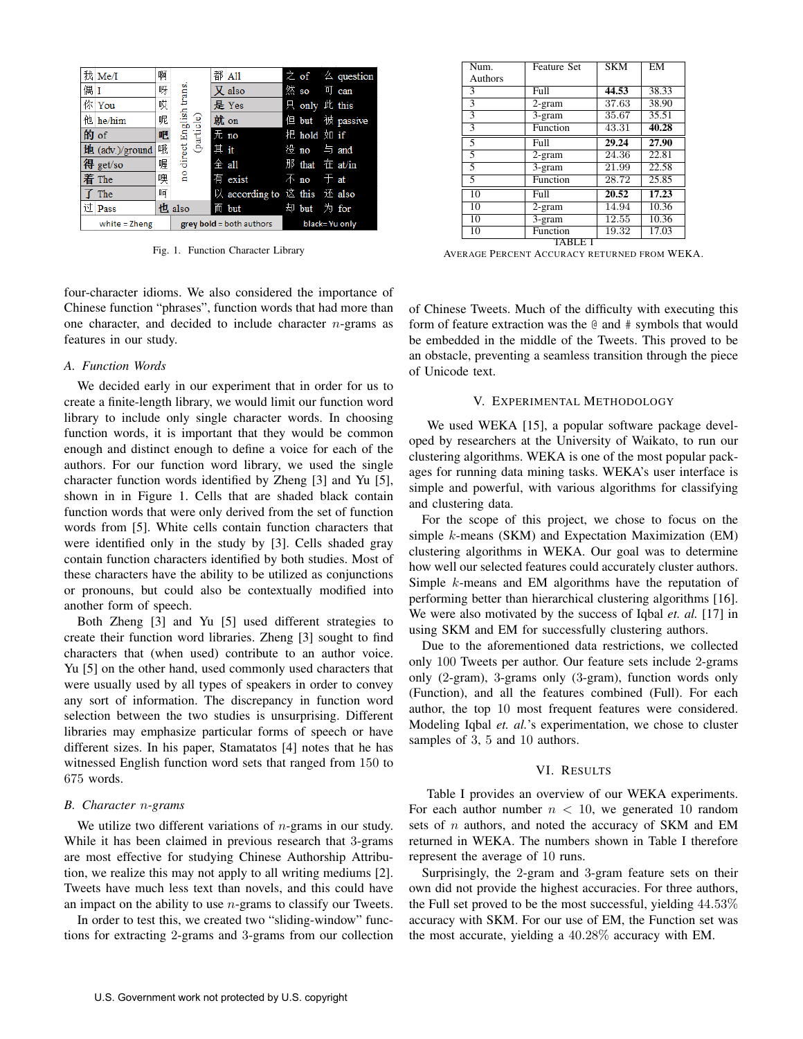|                 | 我 Me/I             | 啊 |                                     |  | 都 All                        |  |                           |  | $\angle$ of $\angle$ question |
|-----------------|--------------------|---|-------------------------------------|--|------------------------------|--|---------------------------|--|-------------------------------|
|                 |                    |   |                                     |  |                              |  |                           |  |                               |
| 偶Ⅰ              |                    | 呀 |                                     |  | $\chi$ also                  |  | 然 so 可 can                |  |                               |
|                 | 你 You              | 哎 |                                     |  | 是 Yes                        |  | 只 only 此 this             |  |                               |
|                 | 他 he/him           | 呢 | direct English trans.<br>(particle) |  | 就 on                         |  |                           |  | 但 but 被 passive               |
|                 | 的of                | 吧 |                                     |  | 无 no                         |  | 把 hold 如 if               |  |                               |
|                 | 地 (adv.)/ground    | 哦 |                                     |  | 其 it                         |  | 没 no 与 and                |  |                               |
|                 | 得 get/so           | 喔 |                                     |  | $\hat{\pm}$ all              |  | 那 that 在 at/in            |  |                               |
|                 | 着 The              | 噢 | $\frac{1}{2}$                       |  | 有 exist                      |  | $\bar{A}$ no $\bar{B}$ at |  |                               |
|                 | $\overline{f}$ The | 呵 |                                     |  | 以 according to 这 this 还 also |  |                           |  |                               |
|                 | 过 Pass             |   | 也 also                              |  | 而 but                        |  | 却 but 为 for               |  |                               |
| white $=$ Zheng |                    |   | $\bf{grey}$ bold = both authors     |  | black=Yu only                |  |                           |  |                               |

Fig. 1. Function Character Library

four-character idioms. We also considered the importance of Chinese function "phrases", function words that had more than one character, and decided to include character  $n$ -grams as features in our study.

## *A. Function Words*

We decided early in our experiment that in order for us to create a finite-length library, we would limit our function word library to include only single character words. In choosing function words, it is important that they would be common enough and distinct enough to define a voice for each of the authors. For our function word library, we used the single character function words identified by Zheng [3] and Yu [5], shown in in Figure 1. Cells that are shaded black contain function words that were only derived from the set of function words from [5]. White cells contain function characters that were identified only in the study by [3]. Cells shaded gray contain function characters identified by both studies. Most of these characters have the ability to be utilized as conjunctions or pronouns, but could also be contextually modified into another form of speech.

Both Zheng [3] and Yu [5] used different strategies to create their function word libraries. Zheng [3] sought to find characters that (when used) contribute to an author voice. Yu [5] on the other hand, used commonly used characters that were usually used by all types of speakers in order to convey any sort of information. The discrepancy in function word selection between the two studies is unsurprising. Different libraries may emphasize particular forms of speech or have different sizes. In his paper, Stamatatos [4] notes that he has witnessed English function word sets that ranged from 150 to 675 words.

#### *B. Character* n*-grams*

We utilize two different variations of  $n$ -grams in our study. While it has been claimed in previous research that 3-grams are most effective for studying Chinese Authorship Attribution, we realize this may not apply to all writing mediums [2]. Tweets have much less text than novels, and this could have an impact on the ability to use  $n$ -grams to classify our Tweets.

In order to test this, we created two "sliding-window" functions for extracting 2-grams and 3-grams from our collection

| Num.                     | <b>Feature Set</b> | <b>SKM</b>         | EM    |
|--------------------------|--------------------|--------------------|-------|
| Authors                  |                    |                    |       |
| 3                        | Full               | 44.53              | 38.33 |
| 3                        | $2$ -gram          | 37.63              | 38.90 |
| 3                        | 3-gram             | 35.67              | 35.51 |
| 3                        | Function           | 43.31              | 40.28 |
| 5                        | Full               | 29.24              | 27.90 |
| 5                        | $2$ -gram          | 24.36              | 22.81 |
| 5                        | 3-gram             | $21.\overline{99}$ | 22.58 |
| $\overline{\mathcal{L}}$ | Function           | 28.72              | 25.85 |
| $\overline{10}$          | Full               | 20.52              | 17.23 |
| 10                       | $2$ -gram          | 14.94              | 10.36 |
| $\overline{10}$          | 3-gram             | 12.55              | 10.36 |
| 10                       | Function           | 19.32              | 17.03 |
|                          | TABLE              |                    |       |

AVERAGE PERCENT ACCURACY RETURNED FROM WEKA.

of Chinese Tweets. Much of the difficulty with executing this form of feature extraction was the @ and # symbols that would be embedded in the middle of the Tweets. This proved to be an obstacle, preventing a seamless transition through the piece of Unicode text.

#### V. EXPERIMENTAL METHODOLOGY

We used WEKA [15], a popular software package developed by researchers at the University of Waikato, to run our clustering algorithms. WEKA is one of the most popular packages for running data mining tasks. WEKA's user interface is simple and powerful, with various algorithms for classifying and clustering data.

For the scope of this project, we chose to focus on the simple k-means (SKM) and Expectation Maximization (EM) clustering algorithms in WEKA. Our goal was to determine how well our selected features could accurately cluster authors. Simple k-means and EM algorithms have the reputation of performing better than hierarchical clustering algorithms [16]. We were also motivated by the success of Iqbal *et. al.* [17] in using SKM and EM for successfully clustering authors.

Due to the aforementioned data restrictions, we collected only 100 Tweets per author. Our feature sets include 2-grams only (2-gram), 3-grams only (3-gram), function words only (Function), and all the features combined (Full). For each author, the top 10 most frequent features were considered. Modeling Iqbal *et. al.*'s experimentation, we chose to cluster samples of 3, 5 and 10 authors.

## VI. RESULTS

Table I provides an overview of our WEKA experiments. For each author number  $n < 10$ , we generated 10 random sets of n authors, and noted the accuracy of SKM and EM returned in WEKA. The numbers shown in Table I therefore represent the average of 10 runs.

Surprisingly, the 2-gram and 3-gram feature sets on their own did not provide the highest accuracies. For three authors, the Full set proved to be the most successful, yielding 44.53% accuracy with SKM. For our use of EM, the Function set was the most accurate, yielding a 40.28% accuracy with EM.